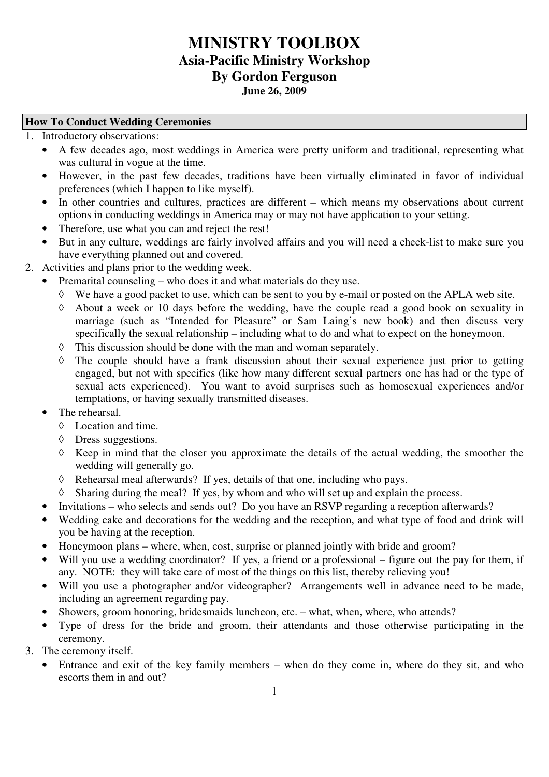# **MINISTRY TOOLBOX Asia-Pacific Ministry Workshop By Gordon Ferguson June 26, 2009**

#### **How To Conduct Wedding Ceremonies**

- 1. Introductory observations:
	- A few decades ago, most weddings in America were pretty uniform and traditional, representing what was cultural in vogue at the time.
	- However, in the past few decades, traditions have been virtually eliminated in favor of individual preferences (which I happen to like myself).
	- In other countries and cultures, practices are different which means my observations about current options in conducting weddings in America may or may not have application to your setting.
	- Therefore, use what you can and reject the rest!
	- But in any culture, weddings are fairly involved affairs and you will need a check-list to make sure you have everything planned out and covered.
- 2. Activities and plans prior to the wedding week.
	- Premarital counseling who does it and what materials do they use.
		- ◊ We have a good packet to use, which can be sent to you by e-mail or posted on the APLA web site.
		- About a week or 10 days before the wedding, have the couple read a good book on sexuality in marriage (such as "Intended for Pleasure" or Sam Laing's new book) and then discuss very specifically the sexual relationship – including what to do and what to expect on the honeymoon.
		- ◊ This discussion should be done with the man and woman separately.
		- ◊ The couple should have a frank discussion about their sexual experience just prior to getting engaged, but not with specifics (like how many different sexual partners one has had or the type of sexual acts experienced). You want to avoid surprises such as homosexual experiences and/or temptations, or having sexually transmitted diseases.
	- The rehearsal
		- ◊ Location and time.
		- ◊ Dress suggestions.
		- ◊ Keep in mind that the closer you approximate the details of the actual wedding, the smoother the wedding will generally go.
		- ◊ Rehearsal meal afterwards? If yes, details of that one, including who pays.
		- ◊ Sharing during the meal? If yes, by whom and who will set up and explain the process.
	- Invitations who selects and sends out? Do you have an RSVP regarding a reception afterwards?
	- Wedding cake and decorations for the wedding and the reception, and what type of food and drink will you be having at the reception.
	- Honeymoon plans where, when, cost, surprise or planned jointly with bride and groom?
	- Will you use a wedding coordinator? If yes, a friend or a professional figure out the pay for them, if any. NOTE: they will take care of most of the things on this list, thereby relieving you!
	- Will you use a photographer and/or videographer? Arrangements well in advance need to be made, including an agreement regarding pay.
	- Showers, groom honoring, bridesmaids luncheon, etc. what, when, where, who attends?
	- Type of dress for the bride and groom, their attendants and those otherwise participating in the ceremony.
- 3. The ceremony itself.
	- Entrance and exit of the key family members when do they come in, where do they sit, and who escorts them in and out?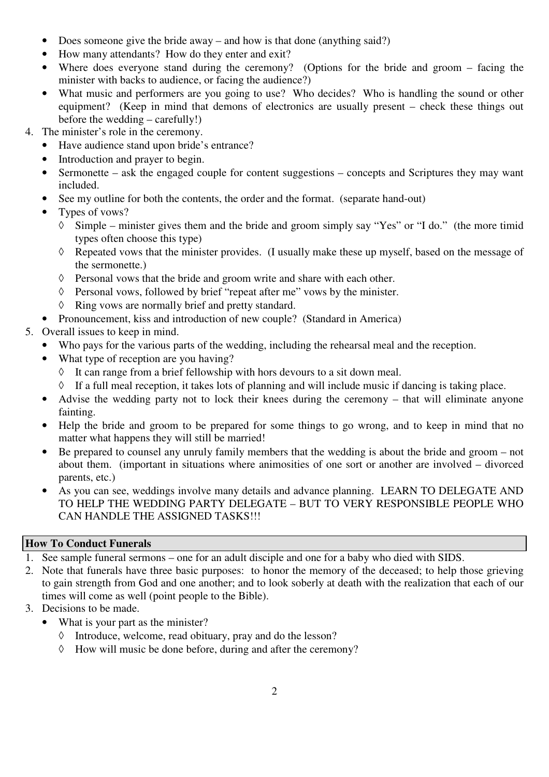- Does someone give the bride away and how is that done (anything said?)
- How many attendants? How do they enter and exit?
- Where does everyone stand during the ceremony? (Options for the bride and groom facing the minister with backs to audience, or facing the audience?)
- What music and performers are you going to use? Who decides? Who is handling the sound or other equipment? (Keep in mind that demons of electronics are usually present – check these things out before the wedding – carefully!)
- 4. The minister's role in the ceremony.
	- Have audience stand upon bride's entrance?
	- Introduction and prayer to begin.
	- Sermonette ask the engaged couple for content suggestions concepts and Scriptures they may want included.
	- See my outline for both the contents, the order and the format. (separate hand-out)
	- Types of vows?
		- Simple minister gives them and the bride and groom simply say "Yes" or "I do." (the more timid types often choose this type)
		- ◊ Repeated vows that the minister provides. (I usually make these up myself, based on the message of the sermonette.)
		- ◊ Personal vows that the bride and groom write and share with each other.
		- ◊ Personal vows, followed by brief "repeat after me" vows by the minister.
		- ◊ Ring vows are normally brief and pretty standard.
	- Pronouncement, kiss and introduction of new couple? (Standard in America)
- 5. Overall issues to keep in mind.
	- Who pays for the various parts of the wedding, including the rehearsal meal and the reception.
	- What type of reception are you having?
		- ◊ It can range from a brief fellowship with hors devours to a sit down meal.
		- ◊ If a full meal reception, it takes lots of planning and will include music if dancing is taking place.
	- Advise the wedding party not to lock their knees during the ceremony that will eliminate anyone fainting.
	- Help the bride and groom to be prepared for some things to go wrong, and to keep in mind that no matter what happens they will still be married!
	- Be prepared to counsel any unruly family members that the wedding is about the bride and groom not about them. (important in situations where animosities of one sort or another are involved – divorced parents, etc.)
	- As you can see, weddings involve many details and advance planning. LEARN TO DELEGATE AND TO HELP THE WEDDING PARTY DELEGATE – BUT TO VERY RESPONSIBLE PEOPLE WHO CAN HANDLE THE ASSIGNED TASKS!!!

# **How To Conduct Funerals**

- 1. See sample funeral sermons one for an adult disciple and one for a baby who died with SIDS.
- 2. Note that funerals have three basic purposes: to honor the memory of the deceased; to help those grieving to gain strength from God and one another; and to look soberly at death with the realization that each of our times will come as well (point people to the Bible).
- 3. Decisions to be made.
	- What is your part as the minister?
		- ◊ Introduce, welcome, read obituary, pray and do the lesson?
		- ◊ How will music be done before, during and after the ceremony?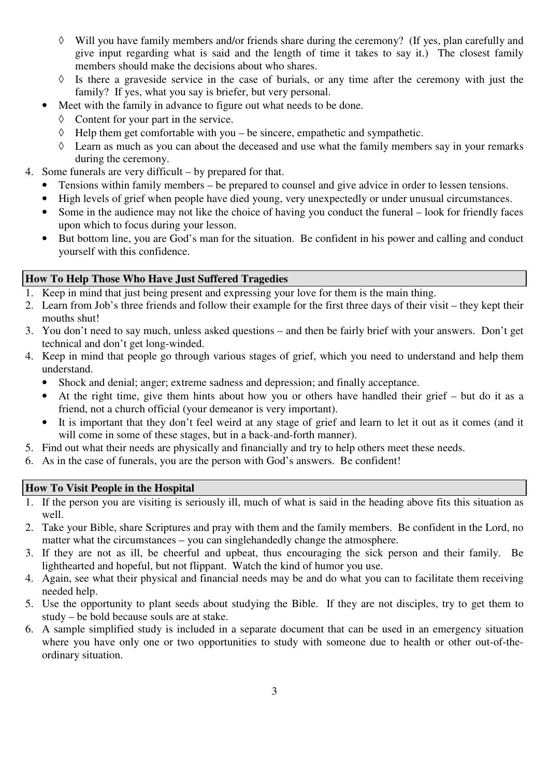- ◊ Will you have family members and/or friends share during the ceremony? (If yes, plan carefully and give input regarding what is said and the length of time it takes to say it.) The closest family members should make the decisions about who shares.
- ◊ Is there a graveside service in the case of burials, or any time after the ceremony with just the family? If yes, what you say is briefer, but very personal.
- Meet with the family in advance to figure out what needs to be done.
	- ◊ Content for your part in the service.
	- $\Diamond$  Help them get comfortable with you be sincere, empathetic and sympathetic.
	- ◊ Learn as much as you can about the deceased and use what the family members say in your remarks during the ceremony.
- 4. Some funerals are very difficult by prepared for that.
	- Tensions within family members be prepared to counsel and give advice in order to lessen tensions.
	- High levels of grief when people have died young, very unexpectedly or under unusual circumstances.
	- Some in the audience may not like the choice of having you conduct the funeral look for friendly faces upon which to focus during your lesson.
	- But bottom line, you are God's man for the situation. Be confident in his power and calling and conduct yourself with this confidence.

# **How To Help Those Who Have Just Suffered Tragedies**

- 1. Keep in mind that just being present and expressing your love for them is the main thing.
- 2. Learn from Job's three friends and follow their example for the first three days of their visit they kept their mouths shut!
- 3. You don't need to say much, unless asked questions and then be fairly brief with your answers. Don't get technical and don't get long-winded.
- 4. Keep in mind that people go through various stages of grief, which you need to understand and help them understand.
	- Shock and denial; anger; extreme sadness and depression; and finally acceptance.
	- At the right time, give them hints about how you or others have handled their grief but do it as a friend, not a church official (your demeanor is very important).
	- It is important that they don't feel weird at any stage of grief and learn to let it out as it comes (and it will come in some of these stages, but in a back-and-forth manner).
- 5. Find out what their needs are physically and financially and try to help others meet these needs.
- 6. As in the case of funerals, you are the person with God's answers. Be confident!

# **How To Visit People in the Hospital**

- 1. If the person you are visiting is seriously ill, much of what is said in the heading above fits this situation as well.
- 2. Take your Bible, share Scriptures and pray with them and the family members. Be confident in the Lord, no matter what the circumstances – you can singlehandedly change the atmosphere.
- 3. If they are not as ill, be cheerful and upbeat, thus encouraging the sick person and their family. Be lighthearted and hopeful, but not flippant. Watch the kind of humor you use.
- 4. Again, see what their physical and financial needs may be and do what you can to facilitate them receiving needed help.
- 5. Use the opportunity to plant seeds about studying the Bible. If they are not disciples, try to get them to study – be bold because souls are at stake.
- 6. A sample simplified study is included in a separate document that can be used in an emergency situation where you have only one or two opportunities to study with someone due to health or other out-of-theordinary situation.